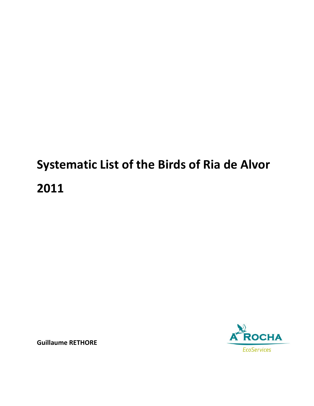## **Systematic List of the Birds of Ria de Alvor 2011**



**Guillaume RETHORE**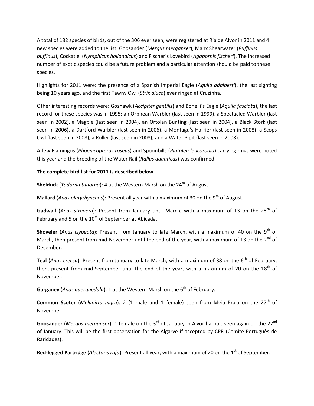A total of 182 species of birds, out of the 306 ever seen, were registered at Ria de Alvor in 2011 and 4 new species were added to the list: Goosander (*Mergus merganser*), Manx Shearwater (*Puffinus puffinus*), Cockatiel (*Nymphicus hollandicus*) and Fischer's Lovebird (*Agapornis fischeri*). The increased number of exotic species could be a future problem and a particular attention should be paid to these species.

Highlights for 2011 were: the presence of a Spanish Imperial Eagle (*Aquila adalberti*), the last sighting being 10 years ago, and the first Tawny Owl (*Strix aluco*) ever ringed at Cruzinha.

Other interesting records were: Goshawk (*Accipiter gentilis*) and Bonelli's Eagle (*Aquila fasciata*), the last record for these species was in 1995; an Orphean Warbler (last seen in 1999), a Spectacled Warbler (last seen in 2002), a Magpie (last seen in 2004), an Ortolan Bunting (last seen in 2004), a Black Stork (last seen in 2006), a Dartford Warbler (last seen in 2006), a Montagu's Harrier (last seen in 2008), a Scops Owl (last seen in 2008), a Roller (last seen in 2008), and a Water Pipit (last seen in 2008).

A few Flamingos (*Phoenicopterus roseus*) and Spoonbills (*Platalea leucorodia*) carrying rings were noted this year and the breeding of the Water Rail (*Rallus aquaticus*) was confirmed.

## **The complete bird list for 2011 is described below.**

**Shelduck** (*Tadorna tadorna*): 4 at the Western Marsh on the 24<sup>th</sup> of August.

**Mallard** (*Anas platyrhynchos*): Present all year with a maximum of 30 on the 9<sup>th</sup> of August.

Gadwall (Anas strepera): Present from January until March, with a maximum of 13 on the 28<sup>th</sup> of February and 5 on the  $10^{th}$  of September at Abicada.

**Shoveler** (*Anas clypeata*): Present from January to late March, with a maximum of 40 on the 9<sup>th</sup> of March, then present from mid-November until the end of the year, with a maximum of 13 on the  $2^{nd}$  of December.

**Teal** (*Anas crecca*): Present from January to late March, with a maximum of 38 on the 6<sup>th</sup> of February, then, present from mid-September until the end of the year, with a maximum of 20 on the  $18<sup>th</sup>$  of November.

Garganey (*Anas querquedula*): 1 at the Western Marsh on the 6<sup>th</sup> of February.

**Common Scoter** (*Melanitta nigra*): 2 (1 male and 1 female) seen from Meia Praia on the 27<sup>th</sup> of November.

Goosander (Mergus merganser): 1 female on the 3<sup>rd</sup> of January in Alvor harbor, seen again on the 22<sup>nd</sup> of January. This will be the first observation for the Algarve if accepted by CPR (Comité Português de Raridades).

Red-legged Partridge (Alectoris rufa): Present all year, with a maximum of 20 on the 1<sup>st</sup> of September.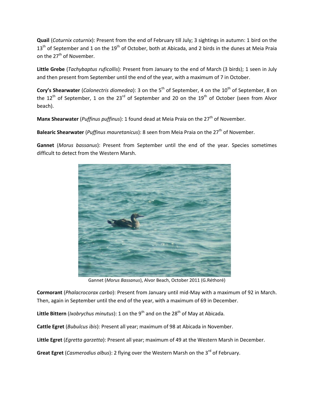**Quail** (*Coturnix coturnix*): Present from the end of February till July; 3 sightings in autumn: 1 bird on the  $13<sup>th</sup>$  of September and 1 on the  $19<sup>th</sup>$  of October, both at Abicada, and 2 birds in the dunes at Meia Praia on the 27<sup>th</sup> of November.

**Little Grebe** (*Tachybaptus ruficollis*): Present from January to the end of March (3 birds); 1 seen in July and then present from September until the end of the year, with a maximum of 7 in October.

**Cory's Shearwater** (*Calonectris diomedea*): 3 on the 5<sup>th</sup> of September, 4 on the 10<sup>th</sup> of September, 8 on the 12<sup>th</sup> of September, 1 on the 23<sup>rd</sup> of September and 20 on the 19<sup>th</sup> of October (seen from Alvor beach).

**Manx Shearwater** (*Puffinus puffinus*): 1 found dead at Meia Praia on the 27<sup>th</sup> of November.

Balearic Shearwater (*Puffinus mauretanicus*): 8 seen from Meia Praia on the 27<sup>th</sup> of November.

**Gannet** (*Morus bassanus*): Present from September until the end of the year. Species sometimes difficult to detect from the Western Marsh.



Gannet (*Morus Bassanus*), Alvor Beach, October 2011 (G.Réthoré)

**Cormorant** (*Phalacrocorax carbo*): Present from January until mid-May with a maximum of 92 in March. Then, again in September until the end of the year, with a maximum of 69 in December.

Little Bittern *(Ixobrychus minutus)*: 1 on the 9<sup>th</sup> and on the 28<sup>th</sup> of May at Abicada.

**Cattle Egret** (*Bubulcus ibis*): Present all year; maximum of 98 at Abicada in November.

**Little Egret** (*Egretta garzetta*): Present all year; maximum of 49 at the Western Marsh in December.

Great Egret (*Casmerodius albus*): 2 flying over the Western Marsh on the 3<sup>rd</sup> of February.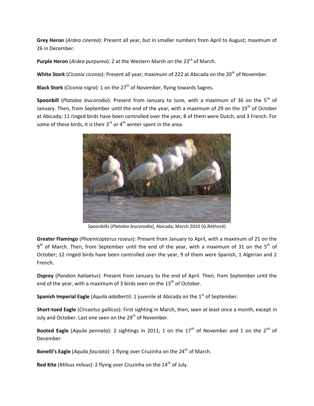**Grey Heron** (*Ardea cinerea*): Present all year, but in smaller numbers from April to August; maximum of 26 in December.

Purple Heron (*Ardea purpurea*): 2 at the Western Marsh on the 23<sup>rd</sup> of March.

**White Stork** (*Ciconia ciconia*): Present all year; maximum of 222 at Abicada on the 20<sup>th</sup> of November.

**Black Stork** (*Ciconia nigra*): 1 on the 27<sup>th</sup> of November, flying towards Sagres.

Spoonbill (*Platalea leucorodia*): Present from January to June, with a maximum of 36 on the 5<sup>th</sup> of January. Then, from September until the end of the year, with a maximum of 29 on the 19<sup>th</sup> of October at Abicada; 11 ringed birds have been controlled over the year, 8 of them were Dutch, and 3 French. For some of these birds, it is their  $3^{rd}$  or  $4^{th}$  winter spent in the area.



Spoonbills (*Platalea leucorodia*), Abicada, March 2010 (G.Réthoré)

**Greater Flamingo** (*Phoenicopterus roseus*): Present from January to April, with a maximum of 21 on the  $9<sup>th</sup>$  of March. Then, from September until the end of the year, with a maximum of 31 on the 5<sup>th</sup> of October; 12 ringed birds have been controlled over the year, 9 of them were Spanish, 1 Algerian and 2 French.

**Osprey** (*Pandion haliaetus*): Present from January to the end of April. Then, from September until the end of the year, with a maximum of 3 birds seen on the  $13<sup>th</sup>$  of October.

**Spanish Imperial Eagle** (*Aquila adalberti*): 1 juvenile at Abicada on the 1<sup>st</sup> of September.

**Short-toed Eagle** (*Circaetus gallicus*): First sighting in March, then, seen at least once a month, except in July and October. Last one seen on the 29<sup>th</sup> of November.

**Booted Eagle** (*Aquila pennata*): 2 sightings in 2011, 1 on the 17<sup>th</sup> of November and 1 on the 2<sup>nd</sup> of December

**Bonelli's Eagle** (*Aquila fasciata*): 1 flying over Cruzinha on the 24<sup>th</sup> of March.

**Red Kite** (*Milvus milvus*): 2 flying over Cruzinha on the 14<sup>th</sup> of July.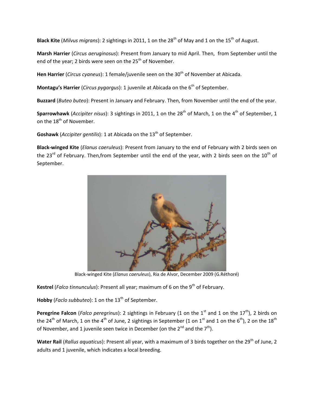**Black Kite** (*Milvus migrans*): 2 sightings in 2011, 1 on the 28<sup>th</sup> of May and 1 on the 15<sup>th</sup> of August.

**Marsh Harrier** (*Circus aeruginosus*): Present from January to mid April. Then, from September until the end of the year; 2 birds were seen on the 25<sup>th</sup> of November.

Hen Harrier (*Circus cyaneus*): 1 female/juvenile seen on the 30<sup>th</sup> of November at Abicada.

**Montagu's Harrier** (*Circus pygargus*): 1 juvenile at Abicada on the 6<sup>th</sup> of September.

**Buzzard** (*Buteo buteo*): Present in January and February. Then, from November until the end of the year.

**Sparrowhawk** (*Accipiter nisus*): 3 sightings in 2011, 1 on the 28<sup>th</sup> of March, 1 on the 4<sup>th</sup> of September, 1 on the 18<sup>th</sup> of November.

**Goshawk** (*Accipiter gentilis*): 1 at Abicada on the 13<sup>th</sup> of September.

**Black-winged Kite** (*Elanus caeruleus*): Present from January to the end of February with 2 birds seen on the 23<sup>rd</sup> of February. Then, from September until the end of the year, with 2 birds seen on the 10<sup>th</sup> of September.



Black-winged Kite (*Elanus caeruleus*), Ria de Alvor, December 2009 (G.Réthoré)

**Kestrel** (*Falco tinnunculus*): Present all year; maximum of 6 on the 9<sup>th</sup> of February.

Hobby (*Faclo subbuteo*): 1 on the 13<sup>th</sup> of September.

**Peregrine Falcon** (*Falco peregrinus*): 2 sightings in February (1 on the 1<sup>st</sup> and 1 on the 17<sup>th</sup>), 2 birds on the 24<sup>th</sup> of March, 1 on the 4<sup>th</sup> of June, 2 sightings in September (1 on 1<sup>st</sup> and 1 on the 6<sup>th</sup>), 2 on the 18<sup>th</sup> of November, and 1 juvenile seen twice in December (on the  $2^{nd}$  and the  $7^{th}$ ).

**Water Rail** (*Rallus aquaticus*): Present all year, with a maximum of 3 birds together on the 29<sup>th</sup> of June, 2 adults and 1 juvenile, which indicates a local breeding.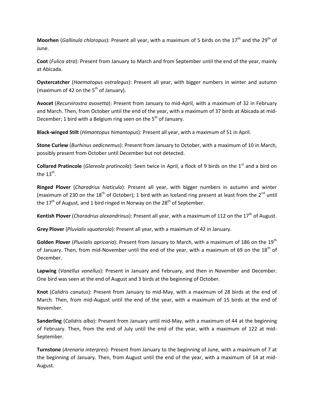**Moorhen** (*Gallinula chloropus*): Present all year, with a maximum of 5 birds on the 17<sup>th</sup> and the 29<sup>th</sup> of June.

**Coot** (*Fulica atra*): Present from January to March and from September until the end of the year, mainly at Abicada.

**Oystercatcher** (*Haematopus ostralegus*): Present all year, with bigger numbers in winter and autumn (maximum of 42 on the  $5<sup>th</sup>$  of January).

**Avocet** (*Recurvirostra avosetta*): Present from January to mid-April, with a maximum of 32 in February and March. Then, from October until the end of the year, with a maximum of 37 birds at Abicada at mid-December; 1 bird with a Belgium ring seen on the  $5<sup>th</sup>$  of January.

**Black-winged Stilt** (*Himantopus himantopus*): Present all year, with a maximum of 51 in April.

**Stone Curlew** (*Burhinus oedicnemus*): Present from January to October, with a maximum of 10 in March, possibly present from October until December but not detected.

**Collared Pratincole** (*Glareola pratincola*): Seen twice in April, a flock of 9 birds on the 1<sup>st</sup> and a bird on the 13<sup>th</sup>.

**Ringed Plover** (*Charadrius hiaticula*): Present all year, with bigger numbers in autumn and winter (maximum of 230 on the 18<sup>th</sup> of October); 1 bird with an Iceland ring present at least from the 2<sup>nd</sup> until the 17<sup>th</sup> of August, and 1 bird ringed in Norway on the 28<sup>th</sup> of September.

**Kentish Plover** (*Charadrius alexandrinus*): Present all year, with a maximum of 112 on the 17<sup>th</sup> of August.

**Grey Plover** (*Pluvialis squatarola*): Present all year, with a maximum of 42 in January.

Golden Plover (*Pluvialis apricaria*): Present from January to March, with a maximum of 186 on the 19<sup>th</sup> of January. Then, from mid-November until the end of the year, with a maximum of 69 on the  $18<sup>th</sup>$  of December.

**Lapwing** (*Vanellus vanellus*): Present in January and February, and then in November and December. One bird was seen at the end of August and 3 birds at the beginning of October.

**Knot** (*Calidris canutus*): Present from January to mid-May, with a maximum of 28 birds at the end of March. Then, from mid-August until the end of the year, with a maximum of 15 birds at the end of November.

**Sanderling** (*Calidris alba*): Present from January until mid-May, with a maximum of 44 at the beginning of February. Then, from the end of July until the end of the year, with a maximum of 122 at mid-September.

**Turnstone** (*Arenaria interpres*): Present from January to the beginning of June, with a maximum of 7 at the beginning of January. Then, from August until the end of the year, with a maximum of 14 at mid-August.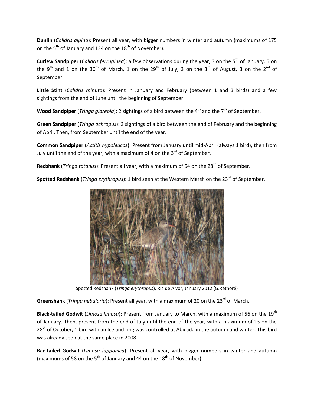**Dunlin** (*Calidris alpina*): Present all year, with bigger numbers in winter and autumn (maximums of 175 on the  $5<sup>th</sup>$  of January and 134 on the 18<sup>th</sup> of November).

**Curlew Sandpiper** (*Calidris ferruginea*): a few observations during the year, 3 on the 5<sup>th</sup> of January, 5 on the 9<sup>th</sup> and 1 on the 30<sup>th</sup> of March, 1 on the 29<sup>th</sup> of July, 3 on the 3<sup>rd</sup> of August, 3 on the 2<sup>nd</sup> of September.

**Little Stint** (*Calidris minuta*): Present in January and February (between 1 and 3 birds) and a few sightings from the end of June until the beginning of September.

**Wood Sandpiper** (*Tringa glareola*): 2 sightings of a bird between the 4<sup>th</sup> and the 7<sup>th</sup> of September.

**Green Sandpiper** (*Tringa ochropus*): 3 sightings of a bird between the end of February and the beginning of April. Then, from September until the end of the year.

**Common Sandpiper** (*Actitis hypoleucos*): Present from January until mid-April (always 1 bird), then from July until the end of the year, with a maximum of 4 on the  $3^{rd}$  of September.

**Redshank** (*Tringa totanus*): Present all year, with a maximum of 54 on the 28<sup>th</sup> of September.

**Spotted Redshank** (*Tringa erythropus*): 1 bird seen at the Western Marsh on the 23<sup>rd</sup> of September.



Spotted Redshank (*Tringa erythropus*), Ria de Alvor, January 2012 (G.Réthoré)

Greenshank (*Tringa nebularia*): Present all year, with a maximum of 20 on the 23<sup>rd</sup> of March.

**Black-tailed Godwit** (*Limosa limosa*): Present from January to March, with a maximum of 56 on the 19th of January. Then, present from the end of July until the end of the year, with a maximum of 13 on the 28<sup>th</sup> of October; 1 bird with an Iceland ring was controlled at Abicada in the autumn and winter. This bird was already seen at the same place in 2008.

**Bar-tailed Godwit** (*Limosa lapponica*): Present all year, with bigger numbers in winter and autumn (maximums of 58 on the  $5<sup>th</sup>$  of January and 44 on the  $18<sup>th</sup>$  of November).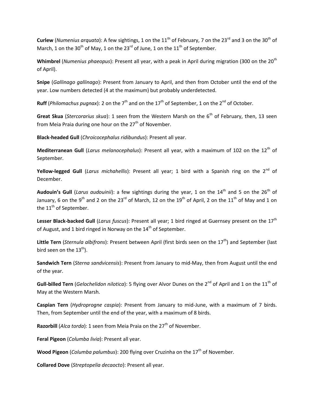**Curlew** (*Numenius arquata*): A few sightings, 1 on the 11<sup>th</sup> of February, 7 on the 23<sup>rd</sup> and 3 on the 30<sup>th</sup> of March, 1 on the 30<sup>th</sup> of May, 1 on the 23<sup>rd</sup> of June, 1 on the 11<sup>th</sup> of September.

**Whimbrel** (*Numenius phaeopus*): Present all year, with a peak in April during migration (300 on the 20th of April).

**Snipe** (*Gallinago gallinago*): Present from January to April, and then from October until the end of the year. Low numbers detected (4 at the maximum) but probably underdetected.

**Ruff** (*Philomachus pugnax*): 2 on the 7<sup>th</sup> and on the 17<sup>th</sup> of September, 1 on the 2<sup>nd</sup> of October.

**Great Skua** (*Stercorarius skua*): 1 seen from the Western Marsh on the 6<sup>th</sup> of February, then, 13 seen from Meia Praia during one hour on the  $27<sup>th</sup>$  of November.

**Black-headed Gull** (*Chroicocephalus ridibundus*): Present all year.

Mediterranean Gull (*Larus melanocephalus*): Present all year, with a maximum of 102 on the 12<sup>th</sup> of September.

**Yellow-legged Gull** (*Larus michahellis*): Present all year; 1 bird with a Spanish ring on the 2<sup>nd</sup> of December.

Audouin's Gull (*Larus audouinii*): a few sightings during the year, 1 on the 14<sup>th</sup> and 5 on the 26<sup>th</sup> of January, 6 on the 9<sup>th</sup> and 2 on the 23<sup>rd</sup> of March, 12 on the 19<sup>th</sup> of April, 2 on the 11<sup>th</sup> of May and 1 on the 11<sup>th</sup> of September.

Lesser Black-backed Gull (*Larus fuscus*): Present all year; 1 bird ringed at Guernsey present on the 17<sup>th</sup> of August, and 1 bird ringed in Norway on the  $14<sup>th</sup>$  of September.

Little Tern (*Sternula albifrons*): Present between April (first birds seen on the 17<sup>th</sup>) and September (last bird seen on the  $13<sup>th</sup>$ ).

**Sandwich Tern** (*Sterna sandvicensis*): Present from January to mid-May, then from August until the end of the year.

**Gull-billed Tern** (*Gelochelidon nilotica*): 5 flying over Alvor Dunes on the 2<sup>nd</sup> of April and 1 on the 11<sup>th</sup> of May at the Western Marsh.

**Caspian Tern** (*Hydroprogne caspia*): Present from January to mid-June, with a maximum of 7 birds. Then, from September until the end of the year, with a maximum of 8 birds.

**Razorbill** (*Alca torda*): 1 seen from Meia Praia on the 27<sup>th</sup> of November.

**Feral Pigeon** (*Columba livia*): Present all year.

**Wood Pigeon** (*Columba palumbus*): 200 flying over Cruzinha on the 17<sup>th</sup> of November.

**Collared Dove** (*Streptopelia decaocto*): Present all year.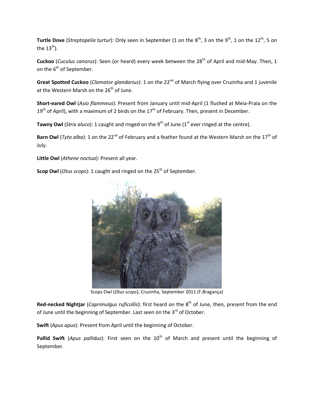**Turtle Dove** (*Streptopelia turtur*): Only seen in September (1 on the 8<sup>th</sup>, 3 on the 9<sup>th</sup>, 1 on the 12<sup>th</sup>, 5 on the  $13<sup>th</sup>$ ).

**Cuckoo** (*Cuculus canorus*): Seen (or heard) every week between the 28<sup>th</sup> of April and mid-May. Then, 1 on the 6<sup>th</sup> of September.

Great Spotted Cuckoo (*Clamator glandarius*): 1 on the 22<sup>nd</sup> of March flying over Cruzinha and 1 juvenile at the Western Marsh on the 26<sup>th</sup> of June.

**Short-eared Owl** (*Asio flammeus*): Present from January until mid-April (1 flushed at Meia-Praia on the  $19<sup>th</sup>$  of April), with a maximum of 2 birds on the  $17<sup>th</sup>$  of February. Then, present in December.

Tawny Owl (*Strix aluco*): 1 caught and ringed on the 9<sup>th</sup> of June (1<sup>st</sup> ever ringed at the centre).

**Barn Owl** (*Tyto alba*): 1 on the 22<sup>nd</sup> of February and a feather found at the Western Marsh on the 17<sup>th</sup> of July.

**Little Owl** (*Athene noctua*): Present all year.

**Scop Owl** (*Otus scops*): 1 caught and ringed on the 25<sup>th</sup> of September.



Scops Owl (*Otus scops*), Cruzinha, September 2011 (F.Bragança)

**Red-necked Nightjar** (*Caprimulgus ruficollis*): first heard on the 8<sup>th</sup> of June, then, present from the end of June until the beginning of September. Last seen on the 3<sup>rd</sup> of October.

**Swift** (*Apus apus*): Present from April until the beginning of October.

Pallid Swift (Apus pallidus): First seen on the 10<sup>th</sup> of March and present until the beginning of September.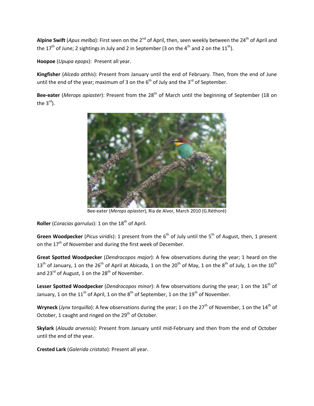Alpine Swift (*Apus melba*): First seen on the 2<sup>nd</sup> of April, then, seen weekly between the 24<sup>th</sup> of April and the 17<sup>th</sup> of June; 2 sightings in July and 2 in September (3 on the 4<sup>th</sup> and 2 on the 11<sup>th</sup>).

**Hoopoe** (*Upupa epops*): Present all year.

**Kingfisher** (*Alcedo atthis*): Present from January until the end of February. Then, from the end of June until the end of the year; maximum of 3 on the  $6<sup>th</sup>$  of July and the  $3<sup>rd</sup>$  of September.

Bee-eater (*Merops apiaster*): Present from the 28<sup>th</sup> of March until the beginning of September (18 on the  $3^{\text{rd}}$ ).



Bee-eater (*Merops apiaster*), Ria de Alvor, March 2010 (G.Réthoré)

**Roller** (*Coracias garrulus*): 1 on the 18<sup>th</sup> of April.

**Green Woodpecker** (*Picus viridis*): 1 present from the 6<sup>th</sup> of July until the 5<sup>th</sup> of August, then, 1 present on the  $17<sup>th</sup>$  of November and during the first week of December.

**Great Spotted Woodpecker** (*Dendrocopos major*): A few observations during the year; 1 heard on the  $13<sup>th</sup>$  of January, 1 on the 26<sup>th</sup> of April at Abicada, 1 on the 20<sup>th</sup> of May, 1 on the 8<sup>th</sup> of July, 1 on the 10<sup>th</sup> and  $23^{\text{rd}}$  of August, 1 on the  $28^{\text{th}}$  of November.

Lesser Spotted Woodpecker (*Dendrocopos minor*): A few observations during the year; 1 on the 16<sup>th</sup> of January, 1 on the  $11<sup>th</sup>$  of April, 1 on the  $8<sup>th</sup>$  of September, 1 on the  $19<sup>th</sup>$  of November.

**Wryneck** (*Jynx torquilla*): A few observations during the year; 1 on the 27<sup>th</sup> of November, 1 on the 14<sup>th</sup> of October, 1 caught and ringed on the  $29<sup>th</sup>$  of October.

**Skylark** (*Alauda arvensis*): Present from January until mid-February and then from the end of October until the end of the year.

**Crested Lark** (*Galerida cristata*): Present all year.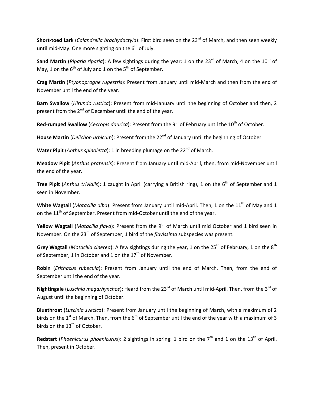**Short-toed Lark** (*Calandrella brachydactyla*): First bird seen on the 23<sup>rd</sup> of March, and then seen weekly until mid-May. One more sighting on the  $6<sup>th</sup>$  of July.

Sand Martin (*Riparia riparia*): A few sightings during the year; 1 on the 23<sup>rd</sup> of March, 4 on the 10<sup>th</sup> of May, 1 on the  $6<sup>th</sup>$  of July and 1 on the  $5<sup>th</sup>$  of September.

**Crag Martin** (*Ptyonoprogne rupestris*): Present from January until mid-March and then from the end of November until the end of the year.

**Barn Swallow** (*Hirundo rustica*): Present from mid-January until the beginning of October and then, 2 present from the 2<sup>nd</sup> of December until the end of the year.

**Red-rumped Swallow** (*Cecropis daurica*): Present from the 9<sup>th</sup> of February until the 10<sup>th</sup> of October.

House Martin (*Delichon urbicum*): Present from the 22<sup>nd</sup> of January until the beginning of October.

**Water Pipit** (*Anthus spinoletta*): 1 in breeding plumage on the 22<sup>nd</sup> of March.

**Meadow Pipit** (*Anthus pratensis*): Present from January until mid-April, then, from mid-November until the end of the year.

**Tree Pipit** (*Anthus trivialis*): 1 caught in April (carrying a British ring), 1 on the 6<sup>th</sup> of September and 1 seen in November.

**White Wagtail** (*Motacilla alba*): Present from January until mid-April. Then, 1 on the 11<sup>th</sup> of May and 1 on the  $11<sup>th</sup>$  of September. Present from mid-October until the end of the year.

**Yellow Wagtail** (*Motacilla flava*): Present from the 9<sup>th</sup> of March until mid October and 1 bird seen in November. On the 23<sup>rd</sup> of September, 1 bird of the *flavissima* subspecies was present.

**Grey Wagtail** (*Motacilla cinerea*): A few sightings during the year, 1 on the 25<sup>th</sup> of February, 1 on the 8<sup>th</sup> of September, 1 in October and 1 on the  $17<sup>th</sup>$  of November.

**Robin** (*Erithacus rubecula*): Present from January until the end of March. Then, from the end of September until the end of the year.

**Nightingale** (*Luscinia megarhynchos*): Heard from the 23rd of March until mid-April. Then, from the 3rd of August until the beginning of October.

**Bluethroat** (*Luscinia svecica*): Present from January until the beginning of March, with a maximum of 2 birds on the 1<sup>st</sup> of March. Then, from the 6<sup>th</sup> of September until the end of the year with a maximum of 3 birds on the 13<sup>th</sup> of October.

**Redstart** (*Phoenicurus phoenicurus*): 2 sightings in spring: 1 bird on the  $7<sup>th</sup>$  and 1 on the 13<sup>th</sup> of April. Then, present in October.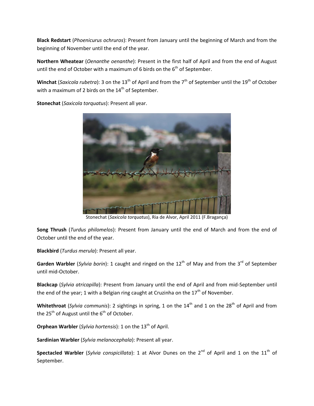**Black Redstart** (*Phoenicurus ochruros*): Present from January until the beginning of March and from the beginning of November until the end of the year.

**Northern Wheatear** (*Oenanthe oenanthe*): Present in the first half of April and from the end of August until the end of October with a maximum of 6 birds on the  $6<sup>th</sup>$  of September.

**Winchat** (*Saxicola rubetra*): 3 on the 13<sup>th</sup> of April and from the 7<sup>th</sup> of September until the 19<sup>th</sup> of October with a maximum of 2 birds on the  $14<sup>th</sup>$  of September.

**Stonechat** (*Saxicola torquatus*): Present all year.



Stonechat (*Saxicola torquatus*), Ria de Alvor, April 2011 (F.Bragança)

**Song Thrush** (*Turdus philomelos*): Present from January until the end of March and from the end of October until the end of the year.

**Blackbird** (*Turdus merula*): Present all year.

**Garden Warbler** (*Sylvia borin*): 1 caught and ringed on the 12<sup>th</sup> of May and from the 3<sup>rd</sup> of September until mid-October.

**Blackcap** (*Sylvia atricapilla*): Present from January until the end of April and from mid-September until the end of the year; 1 with a Belgian ring caught at Cruzinha on the  $17<sup>th</sup>$  of November.

Whitethroat (*Sylvia communis*): 2 sightings in spring, 1 on the 14<sup>th</sup> and 1 on the 28<sup>th</sup> of April and from the  $25^{th}$  of August until the  $6^{th}$  of October.

**Orphean Warbler** (*Sylvia hortensis*): 1 on the 13<sup>th</sup> of April.

**Sardinian Warbler** (*Sylvia melanocephala*): Present all year.

**Spectacled Warbler** (*Sylvia conspicillata*): 1 at Alvor Dunes on the 2<sup>nd</sup> of April and 1 on the 11<sup>th</sup> of September.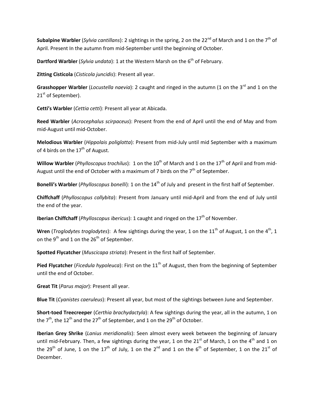**Subalpine Warbler** (*Sylvia cantillans*): 2 sightings in the spring, 2 on the 22<sup>nd</sup> of March and 1 on the 7<sup>th</sup> of April. Present In the autumn from mid-September until the beginning of October.

**Dartford Warbler** (*Sylvia undata*): 1 at the Western Marsh on the 6<sup>th</sup> of February.

**Zitting Cisticola** (*Cisticola juncidis*): Present all year.

**Grasshopper Warbler** (*Locustella naevia*): 2 caught and ringed in the autumn (1 on the 3<sup>rd</sup> and 1 on the 21<sup>st</sup> of September).

**Cetti's Warbler** (*Cettia cetti*): Present all year at Abicada.

**Reed Warbler** (*Acrocephalus scirpaceus*): Present from the end of April until the end of May and from mid-August until mid-October.

**Melodious Warbler** (*Hippolais poliglotta*): Present from mid-July until mid September with a maximum of 4 birds on the  $17<sup>th</sup>$  of August.

**Willow Warbler** (*Phylloscopus trochilus*): 1 on the 10<sup>th</sup> of March and 1 on the 17<sup>th</sup> of April and from mid-August until the end of October with a maximum of 7 birds on the  $7<sup>th</sup>$  of September.

**Bonelli's Warbler** (*Phylloscopus bonelli*): 1 on the 14<sup>th</sup> of July and present in the first half of September.

**Chiffchaff** (*Phylloscopus collybita*): Present from January until mid-April and from the end of July until the end of the year.

**Iberian Chiffchaff** (*Phylloscopus ibericus*): 1 caught and ringed on the 17<sup>th</sup> of November.

**Wren** (*Troglodytes troglodytes*): A few sightings during the year, 1 on the 11<sup>th</sup> of August, 1 on the 4<sup>th</sup>, 1 on the 9<sup>th</sup> and 1 on the 26<sup>th</sup> of September.

**Spotted Flycatcher** (*Muscicapa striata*): Present in the first half of September.

Pied Flycatcher (*Ficedula hypoleuca*): First on the 11<sup>th</sup> of August, then from the beginning of September until the end of October.

**Great Tit** (*Parus major*): Present all year.

**Blue Tit** (*Cyanistes caeruleus*): Present all year, but most of the sightings between June and September.

**Short-toed Treecreeper** (*Certhia brachydactyla*): A few sightings during the year, all in the autumn, 1 on the  $7<sup>th</sup>$ , the 12<sup>th</sup> and the 27<sup>th</sup> of September, and 1 on the 29<sup>th</sup> of October.

**Iberian Grey Shrike** (*Lanius meridionalis*): Seen almost every week between the beginning of January until mid-February. Then, a few sightings during the year, 1 on the 21<sup>st</sup> of March, 1 on the 4<sup>th</sup> and 1 on the 29<sup>th</sup> of June, 1 on the 17<sup>th</sup> of July, 1 on the 2<sup>nd</sup> and 1 on the 6<sup>th</sup> of September, 1 on the 21<sup>st</sup> of December.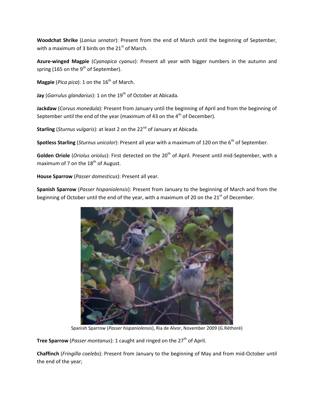**Woodchat Shrike** (*Lanius senator*): Present from the end of March until the beginning of September, with a maximum of 3 birds on the  $21<sup>st</sup>$  of March.

**Azure-winged Magpie** (*Cyanopica cyanus*): Present all year with bigger numbers in the autumn and spring (165 on the  $9<sup>th</sup>$  of September).

**Magpie** (*Pica pica*): 1 on the 16<sup>th</sup> of March.

Jay (*Garrulus glandarius*): 1 on the 19<sup>th</sup> of October at Abicada.

**Jackdaw** (*Corvus monedula*): Present from January until the beginning of April and from the beginning of September until the end of the year (maximum of 43 on the  $4<sup>th</sup>$  of December).

**Starling** (*Sturnus vulgaris*): at least 2 on the 22<sup>nd</sup> of January at Abicada.

**Spotless Starling** (*Sturnus unicolor*): Present all year with a maximum of 120 on the 6<sup>th</sup> of September.

Golden Oriole (*Oriolus oriolus*): First detected on the 20<sup>th</sup> of April. Present until mid-September, with a maximum of 7 on the  $18<sup>th</sup>$  of August.

**House Sparrow** (*Passer domesticus*): Present all year.

**Spanish Sparrow** (*Passer hispaniolensis*): Present from January to the beginning of March and from the beginning of October until the end of the year, with a maximum of 20 on the  $21<sup>st</sup>$  of December.



Spanish Sparrow (*Passer hispaniolensis*), Ria de Alvor, November 2009 (G.Réthoré)

**Tree Sparrow** (*Passer montanus*): 1 caught and ringed on the 27<sup>th</sup> of April.

**Chaffinch** (*Fringilla coelebs*): Present from January to the beginning of May and from mid-October until the end of the year;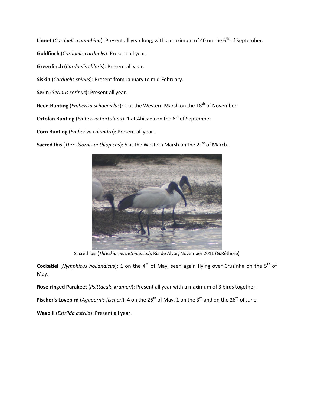**Linnet** (*Carduelis cannabina*): Present all year long, with a maximum of 40 on the 6<sup>th</sup> of September.

**Goldfinch** (*Carduelis carduelis*): Present all year.

**Greenfinch** (*Carduelis chloris*): Present all year.

**Siskin** (*Carduelis spinus*): Present from January to mid-February.

**Serin** (*Serinus serinus*): Present all year.

Reed Bunting (*Emberiza schoeniclus*): 1 at the Western Marsh on the 18<sup>th</sup> of November.

**Ortolan Bunting** (*Emberiza hortulana*): 1 at Abicada on the 6<sup>th</sup> of September.

**Corn Bunting** (*Emberiza calandra*): Present all year.

Sacred Ibis (*Threskiornis aethiopicus*): 5 at the Western Marsh on the 21<sup>st</sup> of March.



Sacred Ibis (*Threskiornis aethiopicus*), Ria de Alvor, November 2011 (G.Réthoré)

**Cockatiel** (*Nymphicus hollandicus*): 1 on the 4<sup>th</sup> of May, seen again flying over Cruzinha on the 5<sup>th</sup> of May.

**Rose-ringed Parakeet** (*Psittacula krameri*): Present all year with a maximum of 3 birds together.

**Fischer's Lovebird** (*Agapornis fischeri*): 4 on the 26<sup>th</sup> of May, 1 on the 3<sup>rd</sup> and on the 26<sup>th</sup> of June.

**Waxbill** (*Estrilda astrild*): Present all year.